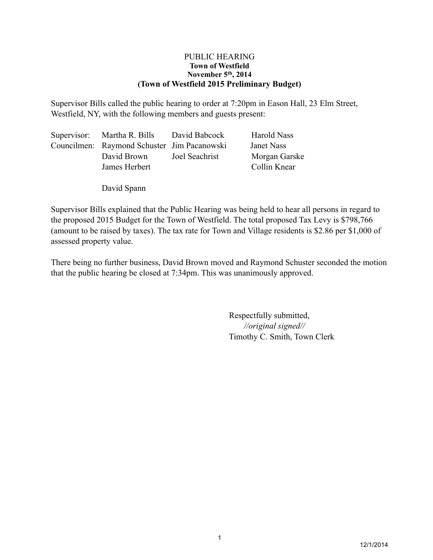#### PUBLIC HEARING **Town of Westfield November 5th, 2014 (Town of Westfield 2015 Preliminary Budget)**

Supervisor Bills called the public hearing to order at 7:20pm in Eason Hall, 23 Elm Street, Westfield, NY, with the following members and guests present:

| Supervisor: Martha R. Bills                 | David Babcock  | <b>Harold Nass</b> |
|---------------------------------------------|----------------|--------------------|
| Councilmen: Raymond Schuster Jim Pacanowski |                | Janet Nass         |
| David Brown                                 | Joel Seachrist | Morgan Garske      |
| James Herbert                               |                | Collin Knear       |
|                                             |                |                    |

David Spann

Supervisor Bills explained that the Public Hearing was being held to hear all persons in regard to the proposed 2015 Budget for the Town of Westfield. The total proposed Tax Levy is \$798,766 (amount to be raised by taxes). The tax rate for Town and Village residents is \$2.86 per \$1,000 of assessed property value.

There being no further business, David Brown moved and Raymond Schuster seconded the motion that the public hearing be closed at 7:34pm. This was unanimously approved.

> Respectfully submitted, *//original signed//* Timothy C. Smith, Town Clerk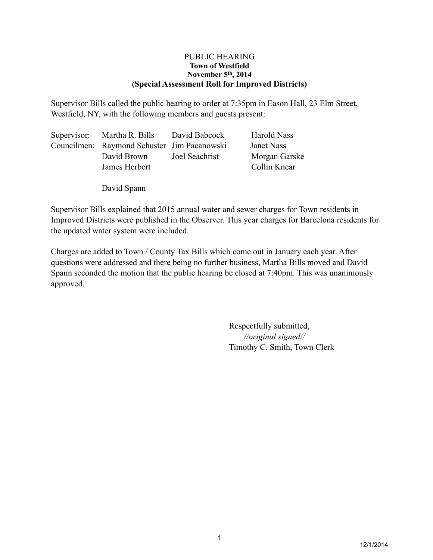#### PUBLIC HEARING **Town of Westfield November 5th, 2014 (Special Assessment Roll for Improved Districts)**

Supervisor Bills called the public hearing to order at 7:35pm in Eason Hall, 23 Elm Street, Westfield, NY, with the following members and guests present:

| Supervisor: Martha R. Bills                 | David Babcock  | Harold Nass   |
|---------------------------------------------|----------------|---------------|
| Councilmen: Raymond Schuster Jim Pacanowski |                | Janet Nass    |
| David Brown                                 | Joel Seachrist | Morgan Garske |
| James Herbert                               |                | Collin Knear  |
|                                             |                |               |

David Spann

Supervisor Bills explained that 2015 annual water and sewer charges for Town residents in Improved Districts were published in the Observer. This year charges for Barcelona residents for the updated water system were included.

Charges are added to Town / County Tax Bills which come out in January each year. After questions were addressed and there being no further business, Martha Bills moved and David Spann seconded the motion that the public hearing be closed at 7:40pm. This was unanimously approved.

> Respectfully submitted, *//original signed//* Timothy C. Smith, Town Clerk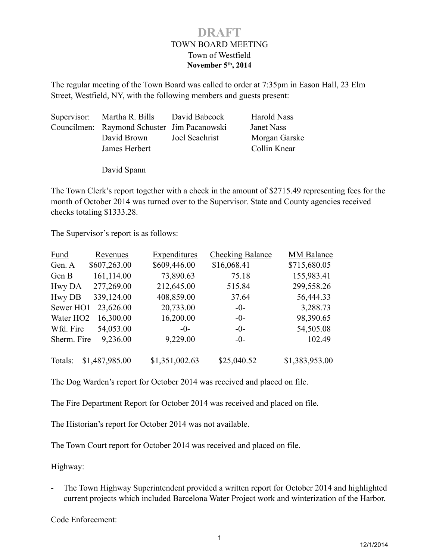### TOWN BOARD MEETING Town of Westfield **November 5th, 2014 DRAFT**

The regular meeting of the Town Board was called to order at 7:35pm in Eason Hall, 23 Elm Street, Westfield, NY, with the following members and guests present:

| Supervisor: Martha R. Bills                 | David Babcock  | Harold Nass   |
|---------------------------------------------|----------------|---------------|
| Councilmen: Raymond Schuster Jim Pacanowski |                | Janet Nass    |
| David Brown                                 | Joel Seachrist | Morgan Garske |
| James Herbert                               |                | Collin Knear  |
|                                             |                |               |

David Spann

The Town Clerk's report together with a check in the amount of \$2715.49 representing fees for the month of October 2014 was turned over to the Supervisor. State and County agencies received checks totaling \$1333.28.

The Supervisor's report is as follows:

| <b>Fund</b>           | <b>Revenues</b> | <b>Expenditures</b> | <b>Checking Balance</b> | <b>MM Balance</b> |
|-----------------------|-----------------|---------------------|-------------------------|-------------------|
| Gen. A                | \$607,263.00    | \$609,446.00        | \$16,068.41             | \$715,680.05      |
| Gen B                 | 161,114.00      | 73,890.63           | 75.18                   | 155,983.41        |
| Hwy DA                | 277,269.00      | 212,645.00          | 515.84                  | 299,558.26        |
| <b>Hwy DB</b>         | 339,124.00      | 408,859.00          | 37.64                   | 56,444.33         |
| Sewer HO1             | 23,626.00       | 20,733.00           | $-0-$                   | 3,288.73          |
| Water HO <sub>2</sub> | 16,300.00       | 16,200.00           | $-0-$                   | 98,390.65         |
| Wfd. Fire             | 54,053.00       | $-()$               | $-0-$                   | 54,505.08         |
| Sherm. Fire           | 9,236.00        | 9,229.00            | $-0-$                   | 102.49            |
| Totals:               | \$1,487,985.00  | \$1,351,002.63      | \$25,040.52             | \$1,383,953.00    |

The Dog Warden's report for October 2014 was received and placed on file.

The Fire Department Report for October 2014 was received and placed on file.

The Historian's report for October 2014 was not available.

The Town Court report for October 2014 was received and placed on file.

Highway:

- The Town Highway Superintendent provided a written report for October 2014 and highlighted current projects which included Barcelona Water Project work and winterization of the Harbor.

Code Enforcement: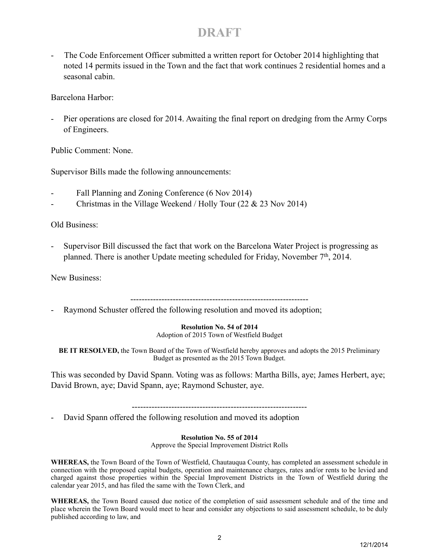# **DRAFT**

The Code Enforcement Officer submitted a written report for October 2014 highlighting that noted 14 permits issued in the Town and the fact that work continues 2 residential homes and a seasonal cabin.

Barcelona Harbor:

Pier operations are closed for 2014. Awaiting the final report on dredging from the Army Corps of Engineers.

Public Comment: None.

Supervisor Bills made the following announcements:

- Fall Planning and Zoning Conference (6 Nov 2014)
- Christmas in the Village Weekend / Holly Tour (22  $&$  23 Nov 2014)

Old Business:

- Supervisor Bill discussed the fact that work on the Barcelona Water Project is progressing as planned. There is another Update meeting scheduled for Friday, November 7<sup>th</sup>, 2014.

New Business:

Raymond Schuster offered the following resolution and moved its adoption;

**Resolution No. 54 of 2014**

Adoption of 2015 Town of Westfield Budget

**BE IT RESOLVED,** the Town Board of the Town of Westfield hereby approves and adopts the 2015 Preliminary Budget as presented as the 2015 Town Budget.

This was seconded by David Spann. Voting was as follows: Martha Bills, aye; James Herbert, aye; David Brown, aye; David Spann, aye; Raymond Schuster, aye.

--------------------------------------------------------------

David Spann offered the following resolution and moved its adoption

**Resolution No. 55 of 2014** Approve the Special Improvement District Rolls

**WHEREAS,** the Town Board of the Town of Westfield, Chautauqua County, has completed an assessment schedule in connection with the proposed capital budgets, operation and maintenance charges, rates and/or rents to be levied and charged against those properties within the Special Improvement Districts in the Town of Westfield during the calendar year 2015, and has filed the same with the Town Clerk, and

**WHEREAS,** the Town Board caused due notice of the completion of said assessment schedule and of the time and place wherein the Town Board would meet to hear and consider any objections to said assessment schedule, to be duly published according to law, and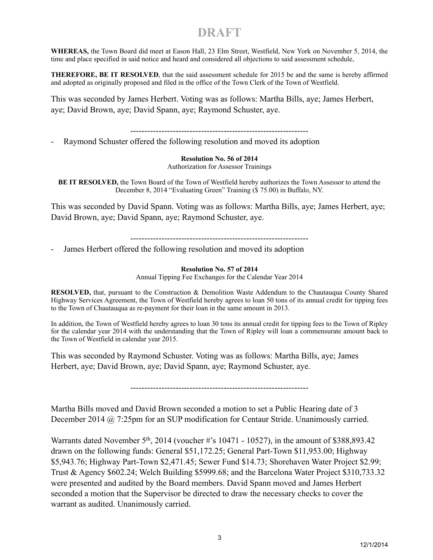# **DRAFT**

**WHEREAS,** the Town Board did meet at Eason Hall, 23 Elm Street, Westfield, New York on November 5, 2014, the time and place specified in said notice and heard and considered all objections to said assessment schedule,

**THEREFORE, BE IT RESOLVED**, that the said assessment schedule for 2015 be and the same is hereby affirmed and adopted as originally proposed and filed in the office of the Town Clerk of the Town of Westfield.

This was seconded by James Herbert. Voting was as follows: Martha Bills, aye; James Herbert, aye; David Brown, aye; David Spann, aye; Raymond Schuster, aye.

---------------------------------------------------------------

Raymond Schuster offered the following resolution and moved its adoption

**Resolution No. 56 of 2014** Authorization for Assessor Trainings

**BE IT RESOLVED,** the Town Board of the Town of Westfield hereby authorizes the Town Assessor to attend the December 8, 2014 "Evaluating Green" Training (\$ 75.00) in Buffalo, NY.

This was seconded by David Spann. Voting was as follows: Martha Bills, aye; James Herbert, aye; David Brown, aye; David Spann, aye; Raymond Schuster, aye.

---------------------------------------------------------------

James Herbert offered the following resolution and moved its adoption

**Resolution No. 57 of 2014** Annual Tipping Fee Exchanges for the Calendar Year 2014

**RESOLVED,** that, pursuant to the Construction & Demolition Waste Addendum to the Chautauqua County Shared Highway Services Agreement, the Town of Westfield hereby agrees to loan 50 tons of its annual credit for tipping fees to the Town of Chautauqua as re-payment for their loan in the same amount in 2013.

In addition, the Town of Westfield hereby agrees to loan 30 tons its annual credit for tipping fees to the Town of Ripley for the calendar year 2014 with the understanding that the Town of Ripley will loan a commensurate amount back to the Town of Westfield in calendar year 2015.

This was seconded by Raymond Schuster. Voting was as follows: Martha Bills, aye; James Herbert, aye; David Brown, aye; David Spann, aye; Raymond Schuster, aye.

---------------------------------------------------------------

Martha Bills moved and David Brown seconded a motion to set a Public Hearing date of 3 December 2014 @ 7:25pm for an SUP modification for Centaur Stride. Unanimously carried.

Warrants dated November  $5<sup>th</sup>$ , 2014 (voucher #'s 10471 - 10527), in the amount of \$388,893.42 drawn on the following funds: General \$51,172.25; General Part-Town \$11,953.00; Highway \$5,943.76; Highway Part-Town \$2,471.45; Sewer Fund \$14.73; Shorehaven Water Project \$2.99; Trust & Agency \$602.24; Welch Building \$5999.68; and the Barcelona Water Project \$310,733.32 were presented and audited by the Board members. David Spann moved and James Herbert seconded a motion that the Supervisor be directed to draw the necessary checks to cover the warrant as audited. Unanimously carried.